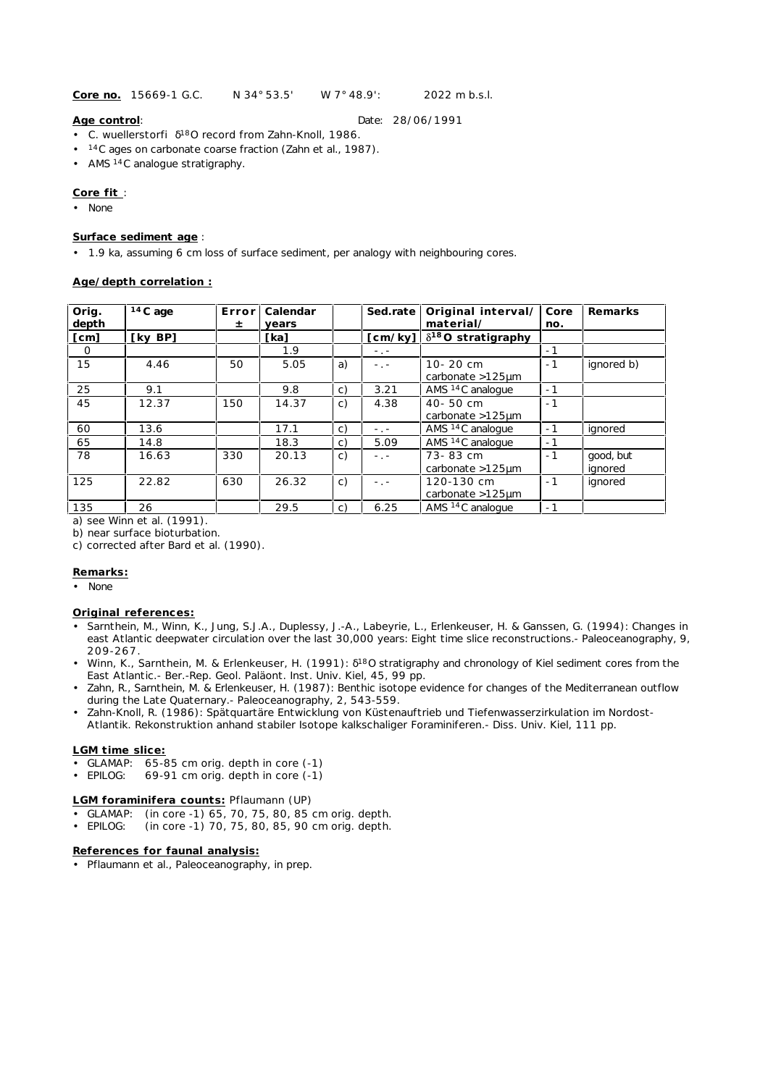**Core no.** 15669-1 G.C. N 34° 53.5' W 7° 48.9': 2022 m b.s.l.

# **Age control**: Date: 28/06/1991

- *C. wuellerstorfi* 18O record from Zahn-Knoll, 1986.
- <sup>14</sup>C ages on carbonate coarse fraction (Zahn et al., 1987).
- AMS<sup>14</sup>C analogue stratigraphy.

## **Core fit** :

• None

#### **Surface sediment age** :

• 1.9 ka, assuming 6 cm loss of surface sediment, per analogy with neighbouring cores.

#### **Age/depth correlation :**

| Orig.<br>depth | $14C$ age | Errorl<br>±. | Calendar<br>vears |                | Sed.rate                | Original interval/<br>material/      | Core<br>no. | Remarks              |
|----------------|-----------|--------------|-------------------|----------------|-------------------------|--------------------------------------|-------------|----------------------|
| [cm]           | [ky BP]   |              | [ka]              |                | $\lceil$ cm/ky $\rceil$ | $\delta^{18}O$ stratigraphy          |             |                      |
| $\circ$        |           |              | 1.9               |                | $\sim 100$              |                                      | $-1$        |                      |
| 15             | 4.46      | 50           | 5.05              | a)             | $-1 -$                  | 10-20 cm<br>carbonate $>125$ µm      | $-1$        | ignored b)           |
| 25             | 9.1       |              | 9.8               | C)             | 3.21                    | AMS <sup>14</sup> C analogue         | $-1$        |                      |
| 45             | 12.37     | 150          | 14.37             | C)             | 4.38                    | 40-50 cm<br>carbonate $>125 \mu m$   | $-1$        |                      |
| 60             | 13.6      |              | 17.1              | C)             | $-$ , $-$               | AMS <sup>14</sup> C analogue         | $-1$        | ignored              |
| 65             | 14.8      |              | 18.3              | C)             | 5.09                    | AMS <sup>14</sup> C analoque         | $-1$        |                      |
| 78             | 16.63     | 330          | 20.13             | c)             | $-1 -$                  | 73-83 cm<br>carbonate $>125$ µm      | $-1$        | good, but<br>ignored |
| 125            | 22.82     | 630          | 26.32             | $\mathsf{C}$ ) | $ -$                    | 120-130 cm<br>carbonate $>125 \mu m$ | $-1$        | ignored              |
| 135            | 26        |              | 29.5              | C)             | 6.25                    | AMS <sup>14</sup> C analogue         | $-1$        |                      |

a) see Winn et al. (1991).

b) near surface bioturbation.

c) corrected after Bard et al. (1990).

# **Remarks:**

• None

#### **Original references:**

- Sarnthein, M., Winn, K., Jung, S.J.A., Duplessy, J.-A., Labeyrie, L., Erlenkeuser, H. & Ganssen, G. (1994): Changes in east Atlantic deepwater circulation over the last 30,000 years: Eight time slice reconstructions.- Paleoceanography, 9, 209-267.
- Winn, K., Sarnthein, M. & Erlenkeuser, H. (1991): <sup>18</sup>O stratigraphy and chronology of Kiel sediment cores from the East Atlantic.- Ber.-Rep. Geol. Paläont. Inst. Univ. Kiel, 45, 99 pp.
- Zahn, R., Sarnthein, M. & Erlenkeuser, H. (1987): Benthic isotope evidence for changes of the Mediterranean outflow during the Late Quaternary.- Paleoceanography, 2, 543-559.
- Zahn-Knoll, R. (1986): Spätquartäre Entwicklung von Küstenauftrieb und Tiefenwasserzirkulation im Nordost-Atlantik. Rekonstruktion anhand stabiler Isotope kalkschaliger Foraminiferen.- Diss. Univ. Kiel, 111 pp.

# **LGM time slice:**

- GLAMAP: 65-85 cm orig. depth in core (-1)
- EPILOG: 69-91 cm orig. depth in core (-1)

# **LGM foraminifera counts:** Pflaumann (UP)

- GLAMAP: (in core -1) 65, 70, 75, 80, 85 cm orig. depth.
- EPILOG: (in core -1) 70, 75, 80, 85, 90 cm orig. depth.

### **References for faunal analysis:**

• Pflaumann et al., Paleoceanography, in prep.